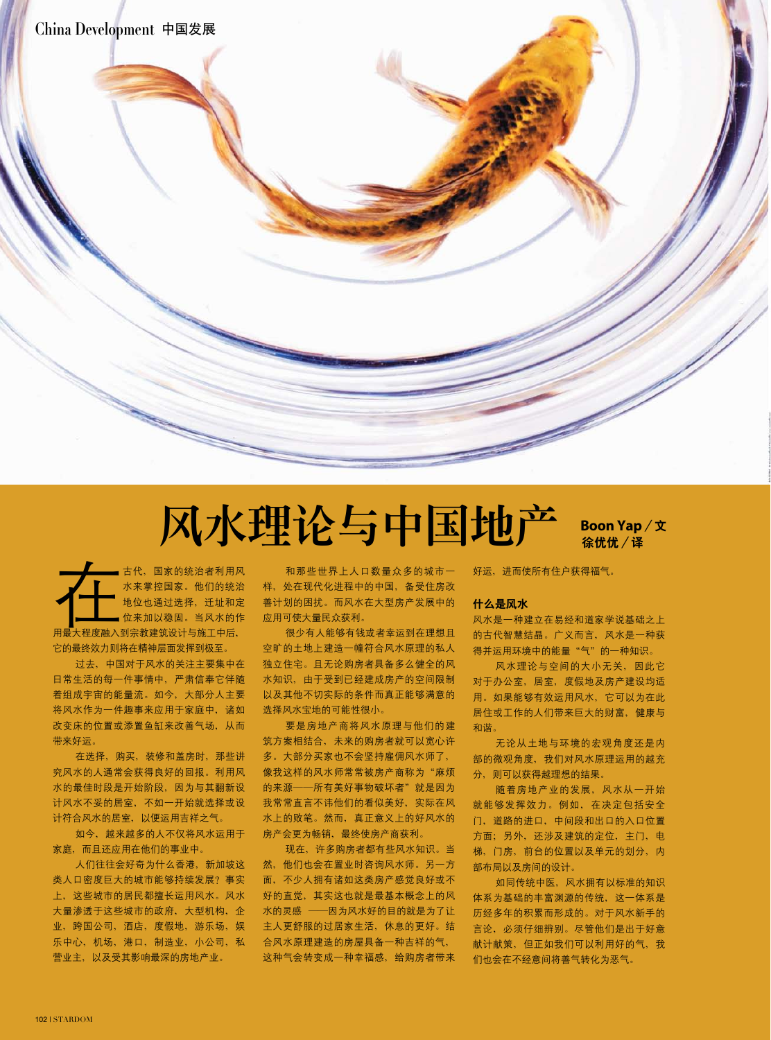# 风水理论与中国地产 Boon Yap**/文**

**徐优优/译**

古代,国家的统治者利用风<br>水来掌控国家。他们的统治<br>地位也通过选择,迁址和定位来加以稳固。当风水的 水来掌控国家。他们的统治 地位也通过选择,迁址和定 位来加以稳固。当风水的作 用最大程度融入到宗教建筑设计与施工中后, 它的最终效力则将在精神层面发挥到极至。

过去,中国对于风水的关注主要集中在 日常生活的每一件事情中,严肃信奉它伴随 着组成宇宙的能量流。如今,大部分人主要 将风水作为一件趣事来应用于家庭中,诸如 改变床的位置或添置鱼缸来改善气场,从而 带来好运。

在选择,购买,装修和盖房时,那些讲 究风水的人通常会获得良好的回报。利用风 水的最佳时段是开始阶段,因为与其翻新设 计风水不妥的居室,不如一开始就选择或设 计符合风水的居室,以便运用吉祥之气。

如今,越来越多的人不仅将风水运用于 家庭,而且还应用在他们的事业中。

人们往往会好奇为什么香港,新加坡这 类人口密度巨大的城市能够持续发展?事实 上,这些城市的居民都擅长运用风水。风水 大量渗透于这些城市的政府,大型机构,企 业,跨国公司,酒店,度假地,游乐场,娱 乐中心,机场,港口,制造业,小公司,私 营业主,以及受其影响最深的房地产业。

和那些世界上人口数量众多的城市一 样,处在现代化进程中的中国,备受住房改 善计划的困扰。而风水在大型房产发展中的 应用可使大量民众获利。

很少有人能够有钱或者幸运到在理想且 空旷的土地上建造一幢符合风水原理的私人 独立住宅。且无论购房者具备多么健全的风 水知识,由于受到已经建成房产的空间限制 以及其他不切实际的条件而真正能够满意的 选择风水宝地的可能性很小。

要是房地产商将风水原理与他们的建 筑方案相结合,未来的购房者就可以宽心许 多。大部分买家也不会坚持雇佣风水师了, 像我这样的风水师常常被房产商称为"麻烦 的来源——所有美好事物破坏者"就是因为 我常常直言不讳他们的看似美好,实际在风 水上的败笔。然而,真正意义上的好风水的 房产会更为畅销, 最终使房产商获利。

现在,许多购房者都有些风水知识。当 然,他们也会在置业时咨询风水师。另一方 面,不少人拥有诸如这类房产感觉良好或不 好的直觉,其实这也就是最基本概念上的风 水的灵感 ——因为风水好的目的就是为了让 主人更舒服的过居家生活,休息的更好。结 合风水原理建造的房屋具备一种吉祥的气, 这种气会转变成一种幸福感,给购房者带来 好运,进而使所有住户获得福气。

#### **什么是风水**

风水是一种建立在易经和道家学说基础之上 的古代智慧结晶。广义而言,风水是一种获 得并运用环境中的能量"气"的一种知识。

风水理论与空间的大小无关,因此它 对于办公室,居室,度假地及房产建设均适 用。如果能够有效运用风水,它可以为在此 居住或工作的人们带来巨大的财富,健康与 和谐。

无论从土地与环境的宏观角度还是内 部的微观角度,我们对风水原理运用的越充 分,则可以获得越理想的结果。

随着房地产业的发展,风水从一开始 就能够发挥效力。例如,在决定包括安全 门,道路的进口,中间段和出口的入口位置 方面;另外,还涉及建筑的定位,主门,电 梯,门房,前台的位置以及单元的划分,内 部布局以及房间的设计。

如同传统中医,风水拥有以标准的知识 体系为基础的丰富渊源的传统,这一体系是 历经多年的积累而形成的。对于风水新手的 言论,必须仔细辨别。尽管他们是出于好意 献计献策,但正如我们可以利用好的气,我 们也会在不经意间将善气转化为恶气。